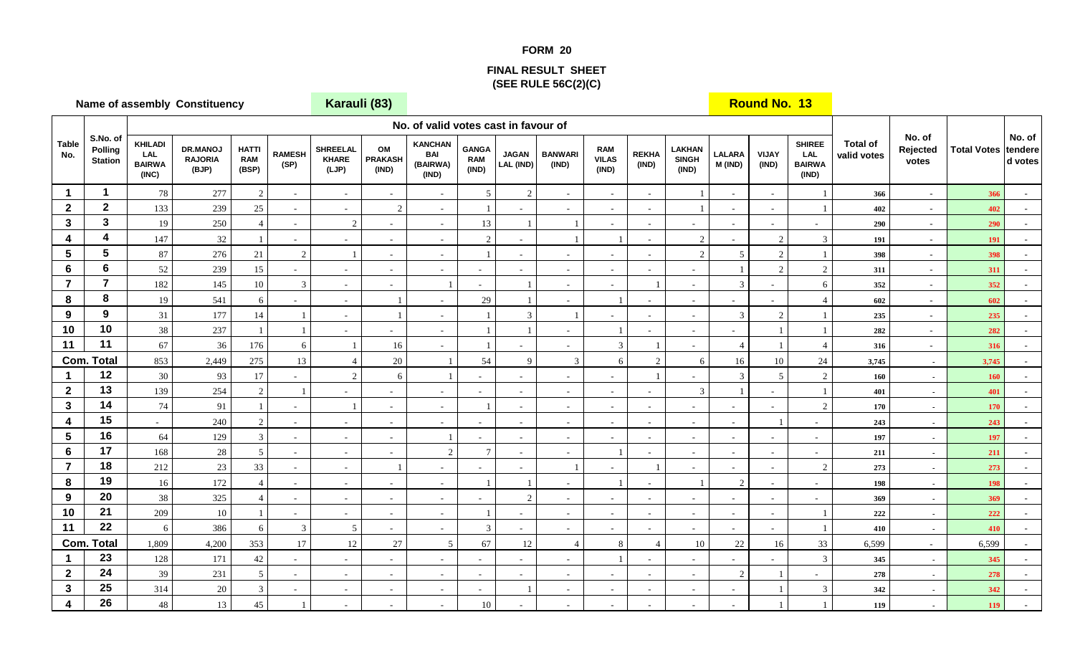## **FORM 20**

## **FINAL RESULT SHEET(SEE RULE 56C(2)(C)**

|                         | Name of assembly Constituency<br>S.No. of |                                                        |                                     |                                     |                       | Karauli (83)                             |                               |                                                   |                                     |                             |                          |                                     |                          |                                        |                          | Round No. 13             |                                                       |                                |                             |                     |                   |
|-------------------------|-------------------------------------------|--------------------------------------------------------|-------------------------------------|-------------------------------------|-----------------------|------------------------------------------|-------------------------------|---------------------------------------------------|-------------------------------------|-----------------------------|--------------------------|-------------------------------------|--------------------------|----------------------------------------|--------------------------|--------------------------|-------------------------------------------------------|--------------------------------|-----------------------------|---------------------|-------------------|
|                         |                                           |                                                        |                                     |                                     |                       |                                          |                               | No. of valid votes cast in favour of              |                                     |                             |                          |                                     |                          |                                        |                          |                          |                                                       |                                |                             |                     |                   |
| <b>Table</b><br>No.     | Polling<br><b>Station</b>                 | <b>KHILADI</b><br><b>LAL</b><br><b>BAIRWA</b><br>(INC) | DR.MANOJ<br><b>RAJORIA</b><br>(BJP) | <b>HATTI</b><br><b>RAM</b><br>(BSP) | <b>RAMESH</b><br>(SP) | <b>SHREELAL</b><br><b>KHARE</b><br>(LJP) | OM<br><b>PRAKASH</b><br>(IND) | <b>KANCHAN</b><br><b>BAI</b><br>(BAIRWA)<br>(IND) | <b>GANGA</b><br><b>RAM</b><br>(IND) | <b>JAGAN</b><br>LAL (IND)   | <b>BANWARI</b><br>(IND)  | <b>RAM</b><br><b>VILAS</b><br>(IND) | <b>REKHA</b><br>(IND)    | <b>LAKHAN</b><br><b>SINGH</b><br>(IND) | <b>LALARA</b><br>M (IND) | <b>VIJAY</b><br>(IND)    | <b>SHIREE</b><br><b>LAL</b><br><b>BAIRWA</b><br>(IND) | <b>Total of</b><br>valid votes | No. of<br>Rejected<br>votes | Total Votes tendere | No. of<br>d votes |
| $\mathbf{1}$            | 1                                         | $78\,$                                                 | 277                                 | $\overline{2}$                      | $\blacksquare$        | $\sim$                                   |                               | $\overline{\phantom{a}}$                          | $5\overline{)}$                     | $\overline{c}$              | $\overline{\phantom{a}}$ | $\sim$                              | $\overline{\phantom{a}}$ |                                        |                          | $\overline{\phantom{a}}$ |                                                       | 366                            | $\overline{\phantom{a}}$    | 366                 |                   |
| $\mathbf 2$             | $\mathbf{2}$                              | 133                                                    | 239                                 | $25\,$                              | $\sim$                | $\sim$                                   | $\overline{2}$                | $\sim$                                            |                                     | ÷.                          |                          | $\sim$                              | $\sim$                   |                                        |                          | $\overline{\phantom{a}}$ |                                                       | 402                            | $\sim$                      | 402                 |                   |
| $\mathbf{3}$            | $\mathbf{3}$                              | 19                                                     | 250                                 | $\boldsymbol{\vartriangle}$         | $\sim$                | $\overline{2}$                           | $\sim$                        | $\sim$                                            | 13                                  | $\overline{1}$              |                          | $\sim$                              | $\sim$                   | $\sim$                                 | $\sim$                   | $\sim$                   | $\sim$                                                | 290                            | $\sim$                      | 290                 |                   |
| $\overline{\mathbf{4}}$ | 4                                         | 147                                                    | 32                                  |                                     | $\sim$                | $\sim$                                   |                               | $\overline{\phantom{a}}$                          | 2                                   | $\sim$                      |                          |                                     | $\sim$                   | 2                                      |                          | $\sqrt{2}$               | $\mathfrak{Z}$                                        | 191                            | $\blacksquare$              | 191                 |                   |
| $5\phantom{1}$          | 5                                         | 87                                                     | 276                                 | 21                                  | 2                     | $\overline{1}$                           | $\sim$                        | $\sim$                                            |                                     | $\sim$                      |                          | $\sim$                              | $\sim$                   | 2                                      | 5                        | 2                        | $\overline{1}$                                        | 398                            | $\sim$                      | 398                 |                   |
| 6                       | $6\phantom{a}$                            | 52                                                     | 239                                 | 15                                  | $\omega$              | $\blacksquare$                           | $\sim$                        | $\blacksquare$                                    | $\sim$                              | $\sim$                      |                          | $\sim$                              | $\sim$                   | $\sim$                                 |                          | 2                        | $\overline{2}$                                        | 311                            | $\sim$                      | 311                 |                   |
| $\overline{7}$          | $\overline{7}$                            | 182                                                    | 145                                 | $10\,$                              | 3                     | $\sim$                                   | $\sim$                        |                                                   | $\sim$                              |                             |                          | $\sim$                              |                          | $\sim$                                 | 3                        | $\overline{\phantom{a}}$ | 6                                                     | 352                            | $\sim$                      | 352                 |                   |
| 8                       | 8                                         | 19                                                     | 541                                 | 6                                   | $\sim$                | $\sim$                                   |                               | $\omega$                                          | 29                                  | $\mathbf{1}$                | $\sim$                   | $\mathbf{1}$                        | $\omega$                 | $\blacksquare$                         | $\bar{\phantom{a}}$      | $\sim$                   | $\overline{4}$                                        | 602                            | $\sim$                      | 602                 |                   |
| 9                       | 9                                         | 31                                                     | 177                                 | 14                                  | $\mathbf{1}$          | $\sim$                                   |                               | $\overline{\phantom{a}}$                          |                                     | 3                           |                          | $\sim$                              | $\overline{\phantom{a}}$ | $\overline{\phantom{a}}$               | 3                        | $\sqrt{2}$               | $\overline{1}$                                        | 235                            | $\overline{\phantom{a}}$    | 235                 |                   |
| 10                      | 10<br>11                                  | 38                                                     | 237                                 | $\overline{\phantom{0}}$            |                       | $\sim$                                   |                               | $\sim$                                            |                                     |                             |                          |                                     | $\sim$                   | $\sim$                                 |                          |                          |                                                       | 282                            | $\sim$                      | 282                 |                   |
| 11                      |                                           | 67                                                     | 36                                  | 176                                 | 6                     | $\overline{1}$                           | 16                            | ä,                                                |                                     | ÷.                          |                          | $\mathfrak{Z}$                      |                          | $\sim$                                 | $\overline{4}$           |                          | $\overline{4}$                                        | 316                            | $\blacksquare$              | 316                 |                   |
| $\mathbf{1}$            | <b>Com. Total</b><br>12                   | 853                                                    | 2,449                               | 275                                 | 13                    | $\overline{4}$<br>2                      | $20\,$                        | $\overline{1}$                                    | 54                                  | 9                           | 3                        | 6                                   | $\mathcal{L}$            | 6                                      | 16<br>$\mathfrak{Z}$     | 10                       | $24\,$                                                | 3,745                          | $\sim$                      | 3,745               |                   |
| $\overline{2}$          | 13                                        | $30\,$<br>139                                          | 93<br>254                           | 17<br>2                             | $\omega$              |                                          | 6                             |                                                   | $\overline{\phantom{a}}$            | $\sim$                      |                          | $\sim$                              |                          | $\omega$<br>3                          |                          | 5                        | $\overline{2}$<br>$\mathbf{1}$                        | 160                            | $\overline{\phantom{a}}$    | 160                 |                   |
| $\mathbf{3}$            | 14                                        | 74                                                     | 91                                  |                                     | $\sim$                | $\omega$<br>$\blacksquare$               | $\sim$                        | $\sim$                                            |                                     | $\sim$<br>$\sim$            |                          | $\sim$<br>$\sim$                    | $\sim$                   | $\overline{\phantom{a}}$               |                          | $\blacksquare$           | 2                                                     | 401<br>170                     | $\overline{\phantom{a}}$    | 401<br>170          |                   |
| $\overline{\mathbf{4}}$ | 15                                        | $\mathbf{r}$                                           | 240                                 | $\overline{2}$                      | $\sim$                | $\sim$                                   | $\sim$                        | $\omega$                                          | $\sim$                              | $\sim$                      | $\sim$                   | $\sim$                              | $\overline{\phantom{a}}$ | $\blacksquare$                         | $\sim$                   | $\overline{1}$           |                                                       | 243                            | $\overline{\phantom{a}}$    | 243                 |                   |
| $\sqrt{5}$              | 16                                        | 64                                                     | 129                                 | 3                                   | $\sim$                | $\sim$                                   | $\sim$                        | $\overline{1}$                                    | $\sim$                              | $\blacksquare$              | $\overline{\phantom{a}}$ | $\sim$                              | $\sim$                   | $\sim$                                 | $\sim$                   | $\overline{\phantom{a}}$ | $\sim$                                                | 197                            | $\sim$                      | 197                 |                   |
| $6\phantom{1}$          | 17                                        | 168                                                    | 28                                  | 5                                   | $\sim$                | $\sim$                                   | $\sim$                        | $\sqrt{2}$                                        | $7\phantom{.0}$                     | $\sim$                      | $\sim$                   | $\overline{1}$                      | $\sim$                   | $\sim$                                 | $\sim$                   | $\sim$                   | $\sim$                                                | 211                            | $\sim$                      | 211                 |                   |
| $\overline{7}$          | 18                                        | 212                                                    | 23                                  | 33                                  | $\sim$                | $\sim$                                   |                               | $\overline{\phantom{a}}$                          |                                     | ÷.                          |                          | $\sim$                              |                          | $\sim$                                 |                          | $\blacksquare$           | $\overline{2}$                                        | 273                            |                             | 273                 |                   |
| 8                       | 19                                        | 16                                                     | 172                                 | $\boldsymbol{\varDelta}$            | $\sim$                | $\sim$                                   | $\sim$                        | $\sim$                                            |                                     | $\overline{1}$              |                          |                                     | $\sim$                   |                                        | 2                        | $\sim$                   | $\sim$                                                | 198                            | $\overline{\phantom{a}}$    | 198                 |                   |
| $9^{\circ}$             | 20                                        | $38\,$                                                 | 325                                 |                                     | $\sim$                | $\blacksquare$                           | $\sim$                        | $\omega$                                          | $\sim$                              | $\overline{c}$              | $\sim$                   | $\sim$                              | $\sim$                   | $\sim$                                 | $\sim$                   | $\sim$                   | $\sim$                                                | 369                            |                             | 369                 |                   |
| 10                      | 21                                        | 209                                                    | 10                                  |                                     | $\sim$                | $\sim$                                   | $\sim$                        | $\sim$                                            |                                     | $\sim$                      |                          | $\sim$                              | $\omega$                 | $\sim$                                 | $\sim$                   | $\sim$                   | $\overline{1}$                                        | 222                            | $\overline{\phantom{a}}$    | 222                 |                   |
| 11                      | 22                                        | 6                                                      | 386                                 | 6                                   | 3                     | 5                                        | $\sim$                        | $\sim$                                            | $\mathbf{3}$                        | $\mathcal{L}_{\mathcal{A}}$ | $\sim$                   | $\sim$                              | $\sim$                   | $\blacksquare$                         | $\bar{\phantom{a}}$      | $\blacksquare$           | $\mathbf{1}$                                          | 410                            | $\overline{\phantom{a}}$    | 410                 |                   |
|                         | <b>Com. Total</b>                         | 1,809                                                  | 4,200                               | 353                                 | 17                    | $12\,$                                   | 27                            | $\overline{5}$                                    | 67                                  | 12                          | $\overline{4}$           | 8                                   | $\overline{4}$           | $10\,$                                 | $22\,$                   | 16                       | 33                                                    | 6,599                          | $\blacksquare$              | 6,599               |                   |
| $\blacktriangleleft$    | 23                                        | 128                                                    | 171                                 | 42                                  | $\sim$                | $\sim$                                   | $\sim$                        | $\omega$                                          | $\overline{a}$                      | $\sim$                      |                          | $\mathbf{1}$                        | $\sim$                   | $\sim$                                 |                          |                          | $\mathfrak{Z}$                                        | 345                            | $\sim$                      | 345                 |                   |
| $\mathbf{2}$            | 24                                        | 39                                                     | 231                                 | 5                                   | $\sim$                | $\sim$                                   | $\sim$                        | $\sim$                                            | $\sim$                              | $\overline{\phantom{a}}$    | ÷.                       | $\sim$                              | $\sim$                   | $\blacksquare$                         | $\overline{2}$           |                          |                                                       | 278                            | $\overline{\phantom{a}}$    | 278                 |                   |
| $\mathbf{3}$            | 25                                        | 314                                                    | $20\,$                              | 3                                   | $\sim$                | $\sim$                                   | $\sim$                        | $\overline{\phantom{a}}$                          | $\sim$                              |                             |                          | $\sim$                              | $\sim$                   | $\sim$                                 | $\overline{\phantom{a}}$ |                          | $\mathfrak{Z}$                                        | 342                            | $\overline{\phantom{a}}$    | 342                 |                   |
| 4                       | 26                                        | $48\,$                                                 | 13                                  | 45                                  |                       | $\omega$                                 |                               | ä,                                                | 10                                  |                             |                          | $\sim$                              |                          | $\sim$                                 |                          |                          |                                                       | 119                            |                             | 119                 |                   |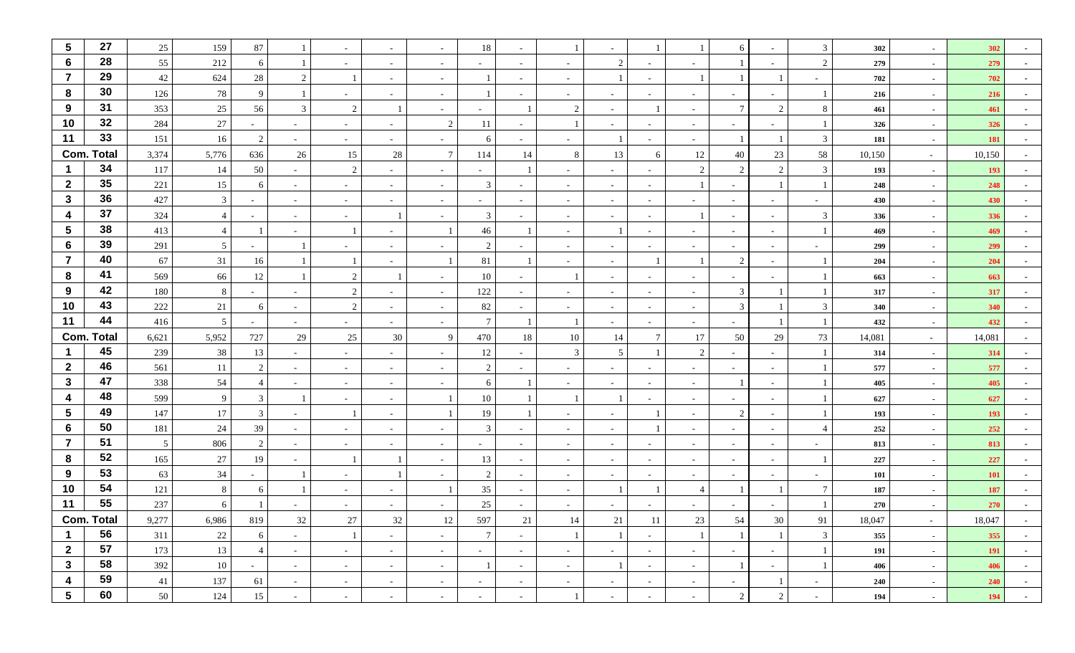| $\sqrt{5}$              | 27                | 25    | 159            | 87             |                          | $\sim$         |                          |                          | 18              |                          |                          |                |                          |                          | 6               | $\sim$         | 3               | 302    | $\sim$ | 302    |        |
|-------------------------|-------------------|-------|----------------|----------------|--------------------------|----------------|--------------------------|--------------------------|-----------------|--------------------------|--------------------------|----------------|--------------------------|--------------------------|-----------------|----------------|-----------------|--------|--------|--------|--------|
| 6                       | 28                | 55    | 212            | 6              |                          | $\sim$         | $\overline{\phantom{a}}$ | $\overline{\phantom{a}}$ | $\sim$          | $\overline{\phantom{a}}$ |                          | 2              |                          | $\sim$                   |                 | $\sim$         | $\overline{2}$  | 279    | $\sim$ | 279    |        |
| $\overline{7}$          | 29                | 42    | 624            | 28             | $\gamma$                 |                | $\sim$                   | $\overline{\phantom{a}}$ |                 | $\sim$                   | $\overline{\phantom{a}}$ |                |                          |                          |                 |                | $\sim$          | 702    | $\sim$ | 702    |        |
| 8                       | 30                | 126   | $78\,$         | 9              |                          | $\sim$         |                          |                          |                 |                          |                          | $\sim$         |                          | $\overline{\phantom{a}}$ |                 |                |                 | 216    | $\sim$ | 216    |        |
| 9                       | 31                | 353   | 25             | 56             | 3                        | 2              |                          |                          | $\sim$          |                          | 2                        | $\sim$         |                          | $\sim$                   | $7\phantom{.0}$ | 2              | 8               | 461    | $\sim$ | 461    |        |
| 10                      | 32                | 284   | $27\,$         | $\sim$         | $\overline{\phantom{a}}$ | $\sim$         | $\sim$                   | 2                        | -11             | $\sim$                   |                          | $\sim$         |                          | $\sim$                   | $\sim$          | $\sim$         |                 | 326    | $\sim$ | 326    | $\sim$ |
| 11                      | 33                | 151   | 16             | 2              | $\sim$                   | $\sim$         | $\sim$                   |                          | 6               | $\sim$                   | $\overline{\phantom{a}}$ |                |                          | $\sim$                   |                 |                | $\mathbf{3}$    | 181    | $\sim$ | 181    |        |
|                         | <b>Com. Total</b> | 3,374 | 5,776          | 636            | 26                       | 15             | 28                       | $\overline{7}$           | 114             | 14                       | 8                        | 13             | -6                       | 12                       | 40              | 23             | 58              | 10,150 | $\sim$ | 10,150 |        |
|                         | 34                | 117   | 14             | 50             | $\overline{\phantom{a}}$ | 2              | $\overline{\phantom{a}}$ |                          | $\sim$          |                          |                          | $\sim$         |                          | $\overline{2}$           | $\overline{2}$  | 2              | 3               | 193    | $\sim$ | 193    |        |
| $\mathbf{2}$            | 35                | 221   | 15             | 6              | $\sim$                   | $\sim$         |                          | ÷,                       | 3               |                          |                          | $\sim$         |                          |                          |                 |                |                 | 248    | $\sim$ | 248    |        |
| $\mathbf{3}$            | 36                | 427   | $\mathbf{3}$   | $\sim$         | $\sim$                   | $\sim$         | $\sim$                   | $\sim$                   | $\sim$          | $\sim$                   | $\sim$                   | $\sim$         | $\sim$                   | $\sim$                   | $\sim$          | $\sim$         | $\sim$          | 430    | $\sim$ | 430    |        |
| $\overline{\mathbf{4}}$ | 37                | 324   | $\overline{4}$ | $\sim$         | $\sim$                   | $\sim$         |                          |                          | 3               |                          | $\overline{\phantom{a}}$ | $\sim$         |                          |                          | $\sim$          | $\sim$         | 3               | 336    | $\sim$ | 336    |        |
| $\sqrt{5}$              | 38                | 413   | $\overline{4}$ |                | $\overline{\phantom{a}}$ |                |                          |                          | 46              |                          | $\overline{\phantom{a}}$ |                | $\sim$                   | $\sim$                   | $\sim$          | $\sim$         |                 | 469    | $\sim$ | 469    |        |
| $6\phantom{1}$          | 39                | 291   | $\overline{5}$ |                |                          | $\sim$         |                          |                          | 2               |                          |                          | $\sim$         |                          | $\sim$                   | $\sim$          | $\sim$         |                 | 299    | $\sim$ | 299    |        |
| $\overline{7}$          | 40                | 67    | 31             | 16             |                          |                | $\overline{\phantom{a}}$ |                          | 81              |                          | $\sim$                   | $\sim$         |                          | $\overline{1}$           | 2               | $\sim$         |                 | 204    | $\sim$ | 204    |        |
| 8                       | 41                | 569   | 66             | 12             |                          | 2              |                          | $\overline{\phantom{a}}$ | 10              |                          |                          | $\sim$         | $\sim$                   | $\sim$                   | $\sim$          | $\sim$         |                 | 663    | $\sim$ | 663    |        |
| 9                       | 42                | 180   | 8              | $\sim$         | $\overline{\phantom{a}}$ | 2              |                          | $\overline{\phantom{a}}$ | 122             |                          |                          | $\sim$         |                          | $\sim$                   | 3               |                |                 | 317    | $\sim$ | 317    |        |
| 10                      | 43                | 222   | 21             | 6              | $\sim$                   | 2              |                          |                          | 82              |                          | $\sim$                   | $\sim$         |                          | $\sim$                   | 3               |                | 3               | 340    | $\sim$ | 340    |        |
| 11                      | 44                | 416   | $\overline{5}$ | $\sim$         | $\sim$                   | $\sim$         | $\sim$                   | $\sim$                   | $7\phantom{.0}$ |                          | -1                       | $\sim$         | $\sim$                   | $\sim$                   | $\sim$          |                |                 | 432    | $\sim$ | 432    | $\sim$ |
|                         | <b>Com. Total</b> | 6,621 | 5,952          | 727            | 29                       | 25             | 30                       | 9                        | 470             | 18                       | 10                       | 14             |                          | 17                       | 50              | 29             | 73              | 14,081 | $\sim$ | 14,081 |        |
|                         | 45                | 239   | 38             | 13             |                          | $\sim$         |                          |                          | 12              |                          | $\overline{3}$           | 5              |                          | $\overline{2}$           | $\sim$          | $\sim$         |                 | 314    | $\sim$ | 314    |        |
| $\overline{2}$          | 46                | 561   | 11             | 2              | $\sim$                   | $\sim$         |                          | $\overline{\phantom{a}}$ | 2               |                          |                          | $\sim$         |                          | $\sim$                   | $\sim$          | $\sim$         |                 | 577    | $\sim$ | 577    |        |
| $\mathbf{3}$            | 47                | 338   | 54             |                | $\overline{\phantom{a}}$ | $\sim$         | $\overline{\phantom{a}}$ | $\overline{\phantom{a}}$ | 6               |                          |                          | $\sim$         |                          | $\sim$                   |                 | $\sim$         |                 | 405    | $\sim$ | 405    |        |
| $\boldsymbol{4}$        | 48                | 599   | 9              | 3              |                          | $\sim$         | $\overline{\phantom{a}}$ |                          | 10              |                          |                          |                | $\overline{\phantom{0}}$ | $\sim$                   | $\sim$          | $\sim$         |                 | 627    | $\sim$ | 627    |        |
| $5\phantom{.0}$         | 49                | 147   | 17             | 3              |                          |                |                          |                          | 19              |                          |                          | $\sim$         |                          | $\sim$                   | 2               | $\sim$         |                 | 193    | $\sim$ | 193    |        |
| $6\phantom{1}$          | 50                | 181   | 24             | 39             | $\sim$                   | $\sim$         | $\overline{\phantom{a}}$ |                          | 3               |                          | $\sim$                   | $\sim$         |                          | $\sim$                   | $\sim$          | $\sim$         | $\overline{4}$  | 252    | $\sim$ | 252    |        |
| $\overline{7}$          | 51                | 5     | 806            | 2              | $\sim$                   | $\sim$         | $\overline{\phantom{a}}$ | $\overline{\phantom{a}}$ | $\sim$          | $\sim$                   | $\overline{\phantom{a}}$ | $\sim$         |                          | $\sim$                   | $\sim$          | $\sim$         |                 | 813    | $\sim$ | 813    |        |
| 8                       | 52                | 165   | $27\,$         | 19             | $\overline{\phantom{a}}$ |                |                          | $\overline{\phantom{a}}$ | 13              | $\sim$                   | $\overline{\phantom{a}}$ | $\sim$         |                          | $\sim$                   | $\sim$          | $\sim$         |                 | 227    | $\sim$ | 227    |        |
| 9                       | 53                | 63    | 34             |                |                          | $\sim$         |                          |                          | $\overline{2}$  |                          | $\sim$                   | $\sim$         |                          | $\sim$                   | $\sim$          | $\sim$         |                 | 101    | $\sim$ | 101    |        |
| 10                      | 54                | 121   | 8              | 6              |                          | $\sim$         |                          |                          | 35              |                          |                          |                |                          | $\overline{4}$           |                 |                | $7\phantom{.0}$ | 187    | $\sim$ | 187    |        |
| 11                      | 55                | 237   | 6              |                |                          | $\sim$         |                          |                          | 25              |                          |                          |                |                          |                          |                 |                |                 | 270    | $\sim$ | 270    |        |
|                         | <b>Com. Total</b> | 9,277 | 6,986          | 819            | 32                       | 27             | 32                       | 12                       | 597             | 21                       | 14                       | 21             | 11                       | 23                       | 54              | 30             | 91              | 18,047 | $\sim$ | 18,047 | $\sim$ |
| $\mathbf 1$             | 56                | 311   | 22             | 6              | $\sim$                   | $\overline{1}$ | $\sim$                   | $\sim$                   | $7\phantom{.0}$ | $\sim$                   |                          | $\overline{1}$ | $\sim$                   | $\mathbf{1}$             |                 |                | $\mathfrak{Z}$  | 355    | $\sim$ | 355    | $\sim$ |
| $\mathbf{2}$            | 57                | 173   | 13             | $\overline{4}$ | $\sim$                   | $\sim$         | $\sim$                   | $\sim$                   | $\sim$          | $\sim$                   | $\sim$                   | $\sim$         | $\sim$                   | $\sim$                   | $\sim$          | $\sim$         |                 | 191    | $\sim$ | 191    | $\sim$ |
| $\mathbf{3}$            | 58                | 392   | $10\,$         | $\sim$         | $\sim$                   | $\sim$         | $\sim$                   | $\sim$                   |                 | $\sim$                   | $\sim$                   | $\overline{1}$ | $\sim$                   | $\sim$                   |                 | $\sim$         |                 | 406    | $\sim$ | 406    | $\sim$ |
| 4                       | 59                | 41    | 137            | 61             | $\sim$                   | $\sim$         | $\sim$                   | $\sim$                   | $\sim$          | $\sim$                   | $\sim$                   | $\sim$         | $\sim$                   | $\sim$                   | $\sim$          |                | $\sim$          | 240    | $\sim$ | 240    | $\sim$ |
| $5\phantom{.0}$         | 60                | 50    | 124            | 15             | $\sim$                   | $\sim$         | $\sim$                   | $\sim$                   | $\sim$          | $\sim$                   |                          | $\sim$         | $\sim$                   | $\sim$                   | $\overline{2}$  | $\overline{2}$ | $\sim$          | 194    | $\sim$ | 194    | $\sim$ |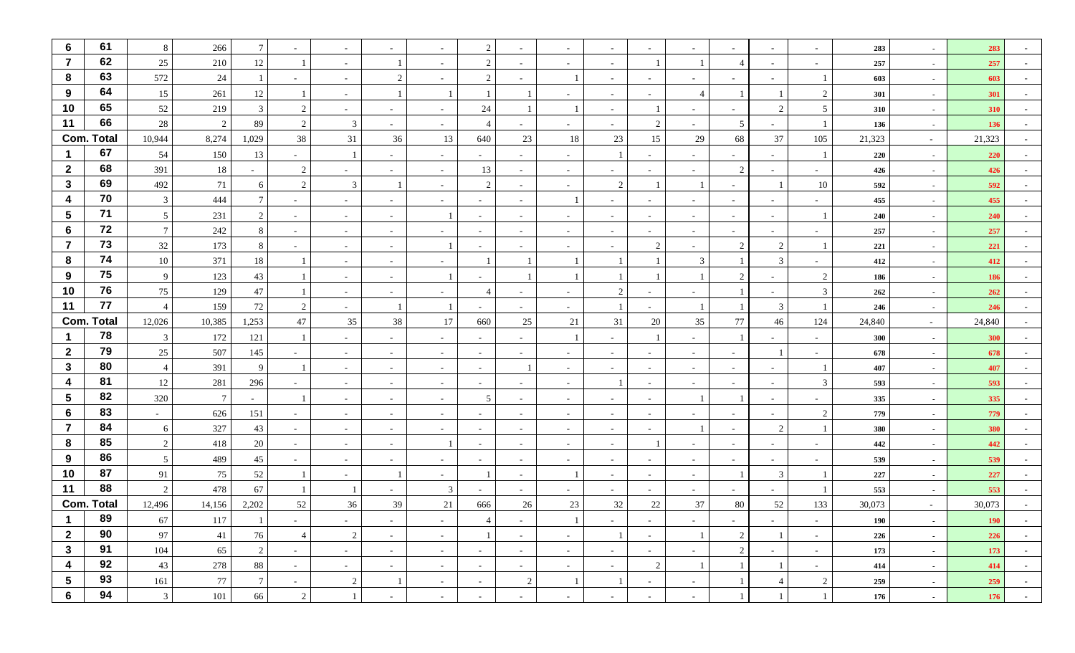| $6\phantom{1}6$                         | 61                      | 8               | 266                    | $7\phantom{.0}$ |                          | $\sim$           |                          |                          | $\overline{2}$           |                          |                          |                  |                |                          |                |                          |                          | 283        | $\sim$           | 283        |        |
|-----------------------------------------|-------------------------|-----------------|------------------------|-----------------|--------------------------|------------------|--------------------------|--------------------------|--------------------------|--------------------------|--------------------------|------------------|----------------|--------------------------|----------------|--------------------------|--------------------------|------------|------------------|------------|--------|
| $\overline{7}$                          | 62                      | 25              | 210                    | 12              |                          | $\sim$           |                          |                          | $\overline{2}$           |                          |                          | $\sim$           |                |                          |                | $\sim$                   |                          | 257        | $\sim$           | 257        |        |
| 8                                       | 63                      | 572             | 24                     |                 | $\overline{\phantom{a}}$ | $\sim$           | 2                        |                          | $\overline{2}$           |                          |                          | $\sim$           |                | $\overline{\phantom{a}}$ |                | $\sim$                   |                          | 603        | $\sim$           | 603        |        |
| 9                                       | 64                      | 15              | 261                    | 12              |                          | $\sim$           |                          |                          |                          |                          |                          | $\sim$           |                |                          |                |                          | 2                        | 301        | $\sim$           | 301        |        |
| 10                                      | 65                      | 52              | 219                    | 3               | $\mathcal{D}$            | $\sim$           |                          |                          | 24                       |                          |                          | $\sim$           |                | $\overline{\phantom{a}}$ |                | $\mathcal{D}$            | 5                        | 310        | $\sim$           | 310        |        |
| 11                                      | 66                      | 28              | 2                      | 89              | $\overline{2}$           | $\mathbf{3}$     | $\overline{\phantom{a}}$ | $\overline{\phantom{a}}$ | $\overline{4}$           | ٠                        |                          | $\sim$           | $\overline{2}$ | $\sim$                   | 5              | $\sim$                   |                          | 136        | $\sim$           | 136        | $\sim$ |
|                                         | <b>Com. Total</b>       | 10,944          | 8,274                  | 1,029           | 38                       | 31               | 36                       | 13                       | 640                      | 23                       | 18                       | 23               | 15             | 29                       | 68             | 37                       | 105                      | 21,323     | $\sim$           | 21,323     |        |
|                                         | 67                      | 54              | 150                    | 13              |                          |                  |                          |                          | $\sim$                   |                          |                          |                  |                | $\sim$                   |                | $\sim$                   |                          | 220        | $\sim$           | 220        |        |
| $\overline{2}$                          | 68                      | 391             | 18                     |                 | $\mathcal{D}$            | $\sim$           |                          |                          | 13                       |                          |                          | $\sim$           |                | $\sim$                   | $\overline{2}$ | $\sim$                   |                          | 426        | $\sim$           | 426        |        |
| $\mathbf{3}$                            | 69                      | 492             | 71                     | 6               | $\mathcal{D}$            | 3                |                          |                          | $\overline{2}$           |                          |                          | 2                |                |                          |                |                          | 10                       | 592        | $\sim$           | 592        |        |
| 4                                       | 70                      | $\mathbf{3}$    | 444                    | $\tau$          | $\sim$                   | $\sim$           | $\sim$                   | $\sim$                   | $\sim$                   | $\sim$                   |                          | $\sim$           |                | $\sim$                   | $\sim$         | $\sim$                   | $\sim$                   | 455        | $\sim$           | 455        |        |
| $5\phantom{1}$                          | 71                      | 5               | 231                    | 2               | $\overline{\phantom{a}}$ | $\sim$           |                          |                          | $\overline{\phantom{0}}$ |                          |                          | $\sim$           |                | $\sim$                   |                | $\sim$                   |                          | 240        | $\sim$           | 240        |        |
| $6\phantom{1}6$                         | 72                      | $7\phantom{.0}$ | 242                    | 8               | $\overline{\phantom{a}}$ | $\sim$           | $\overline{\phantom{a}}$ | $\overline{\phantom{a}}$ | $\sim$                   | $\sim$                   | $\overline{\phantom{a}}$ | $\sim$           |                | $\sim$                   |                | $\sim$                   |                          | 257        | $\sim$           | 257        |        |
| $\overline{7}$                          | 73                      | 32              | 173                    | 8               |                          | $\sim$           |                          |                          | $\sim$                   |                          |                          | $\sim$           | $\overline{2}$ | $\sim$                   | 2              | 2                        |                          | 221        | $\sim$           | 221        |        |
| 8                                       | 74                      | 10              | 371                    | 18              |                          | $\sim$           | $\sim$                   |                          |                          |                          |                          |                  |                | 3                        |                | 3                        |                          | 412        | $\sim$           | 412        |        |
| 9                                       | 75                      | 9               | 123                    | 43              |                          | $\sim$           | $\sim$                   |                          | $\overline{\phantom{0}}$ |                          |                          |                  |                |                          | 2              | $\sim$                   | 2                        | 186        | $\sim$           | 186        |        |
| 10                                      | 76                      | 75              | 129                    | 47              |                          | $\sim$           | $\overline{\phantom{a}}$ |                          | $\overline{\mathcal{A}}$ |                          |                          | 2                |                | $\sim$                   |                | $\sim$                   | 3                        | 262        | $\sim$           | 262        |        |
| 11                                      | 77                      | $\overline{4}$  | 159                    | 72              | $\overline{2}$           | $\sim$           |                          |                          |                          |                          |                          |                  |                |                          |                | 3                        |                          | 246        | $\sim$           | 246        |        |
|                                         | <b>Com. Total</b><br>78 | 12,026          | 10,385                 | 1,253           | 47                       | 35               | 38                       | 17                       | 660                      | 25                       | 21                       | 31               | 20             | 35                       | 77             | 46                       | 124                      | 24,840     | $\sim$           | 24,840     |        |
|                                         | 79                      | 3               | 172                    | 121             |                          | $\sim$           |                          |                          | $\overline{\phantom{a}}$ |                          |                          | $\sim$           |                | $\sim$                   |                | $\overline{\phantom{a}}$ |                          | 300        | $\sim$           | 300        |        |
| $\overline{2}$                          | 80                      | 25              | 507                    | 145             |                          | $\sim$           | $\overline{\phantom{a}}$ | $\overline{\phantom{a}}$ | $\sim$                   |                          |                          | $\sim$           |                | $\sim$                   |                |                          |                          | 678        | $\sim$           | 678        |        |
| $\mathbf{3}$<br>$\overline{\mathbf{4}}$ | 81                      | $\overline{4}$  | 391                    | 9<br>296        |                          | $\sim$           |                          | $\overline{\phantom{a}}$ | $\sim$                   |                          |                          | $\sim$           |                | $\sim$                   |                | $\sim$                   | 3                        | 407        | $\sim$           | 407        |        |
| $5\phantom{.0}$                         | 82                      | 12<br>320       | 281<br>$7\phantom{.0}$ | $\sim$          | $\overline{\phantom{a}}$ | $\sim$           | $\overline{\phantom{a}}$ | $\overline{\phantom{a}}$ | $\sim$<br>5              |                          | $\overline{\phantom{a}}$ |                  |                | $\sim$                   |                | $\sim$                   |                          | 593<br>335 | $\sim$           | 593<br>335 |        |
| $6\phantom{1}6$                         | 83                      | $\sim$          | 626                    | 151             |                          | $\sim$<br>$\sim$ | $\sim$                   |                          |                          | $\overline{\phantom{a}}$ |                          | $\sim$<br>$\sim$ |                |                          |                | $\sim$<br>$\sim$         | $\sim$<br>$\overline{2}$ | 779        | $\sim$<br>$\sim$ | 779        |        |
| $\overline{7}$                          | 84                      | 6               | 327                    | 43              | $\sim$                   | $\sim$           | $\overline{\phantom{a}}$ |                          | $\sim$                   | ٠                        |                          | $\sim$           |                |                          |                | 2                        |                          | 380        | $\sim$           | 380        |        |
| 8                                       | 85                      | 2               | 418                    | 20              | $\sim$                   | $\sim$           | $\overline{\phantom{a}}$ |                          | $\sim$                   | $\overline{\phantom{a}}$ |                          | $\sim$           |                | $\sim$                   |                | $\sim$                   |                          | 442        | $\sim$           | 442        |        |
| 9                                       | 86                      | 5               | 489                    | 45              | $\sim$                   | $\sim$           | $\sim$                   |                          | $\overline{\phantom{a}}$ |                          |                          | $\overline{a}$   |                | $\sim$                   |                | $\sim$                   |                          | 539        | $\sim$           | 539        |        |
| 10                                      | 87                      | 91              | $75\,$                 | 52              |                          | $\sim$           |                          |                          |                          |                          |                          | $\sim$           |                | $\sim$                   |                | 3                        |                          | 227        | $\sim$           | 227        |        |
| 11                                      | 88                      | $\mathcal{D}$   | 478                    | 67              |                          |                  |                          | 3                        |                          |                          |                          |                  |                | $\sim$                   |                |                          |                          | 553        | $\sim$           | 553        |        |
|                                         | <b>Com. Total</b>       | 12,496          | 14,156                 | 2,202           | 52                       | 36               | 39                       | 21                       | 666                      | 26                       | $23\,$                   | 32               | $22\,$         | 37                       | 80             | 52                       | 133                      | 30,073     | $\sim$           | 30,073     |        |
| - 1                                     | 89                      | 67              | 117                    |                 | $\sim$                   | $\sim$           | $\sim$ $-$               | $\sim$                   | 4                        | $\sim$                   | $\mathbf{I}$             | $\sim$           | $\sim$         | $\sim$                   | $\sim$         | $\sim$ $-$               | $\sim$                   | 190        | $\sim$           | <b>190</b> | $\sim$ |
| $\mathbf{2}$                            | 90                      | 97              | 41                     | 76              | $\overline{4}$           | $\overline{2}$   | $\sim$                   | $\sim$                   |                          | $\sim$                   | $\sim$                   | $\overline{1}$   | $\sim$         | 1                        | $\overline{2}$ |                          | $\sim$                   | 226        | $\sim$           | 226        | $\sim$ |
| $\mathbf{3}$                            | 91                      | 104             | 65                     | $\overline{2}$  | $\sim$                   | $\sim$           | $\sim$                   | $\sim$                   | $\sim$                   | $\sim$                   | $\sim$                   | $\sim$           | $\sim$         | $\sim$                   | 2              | $\sim$                   | $\sim$                   | 173        | $\sim$           | 173        | $\sim$ |
| $\overline{\mathbf{4}}$                 | 92                      | 43              | 278                    | 88              | $\sim$                   | $\sim$           | $\sim$                   | $\sim$                   | $\sim$                   | $\sim$                   | $\sim$                   | $\sim$           | 2              | 1                        |                |                          | $\sim$                   | 414        | $\sim$           | 414        | $\sim$ |
| $5\phantom{.0}$                         | 93                      | 161             | 77                     | $7\phantom{.0}$ | $\sim$                   | 2                | -1                       | $\sim$                   | $\sim$                   | $\overline{2}$           | $\overline{1}$           | -1               | $\sim$         | $\sim$                   | 1              | $\overline{4}$           | $\overline{2}$           | 259        | $\sim$           | 259        | $\sim$ |
| $6\phantom{1}$                          | 94                      | $\mathfrak{Z}$  | 101                    | 66              | 2                        |                  | $\sim$                   | $\sim$                   | $\sim$                   | $\sim$                   | $\sim$                   | $\sim$           | $\sim$         | $\sim$                   |                |                          |                          | 176        | $\sim$           | 176        | $\sim$ |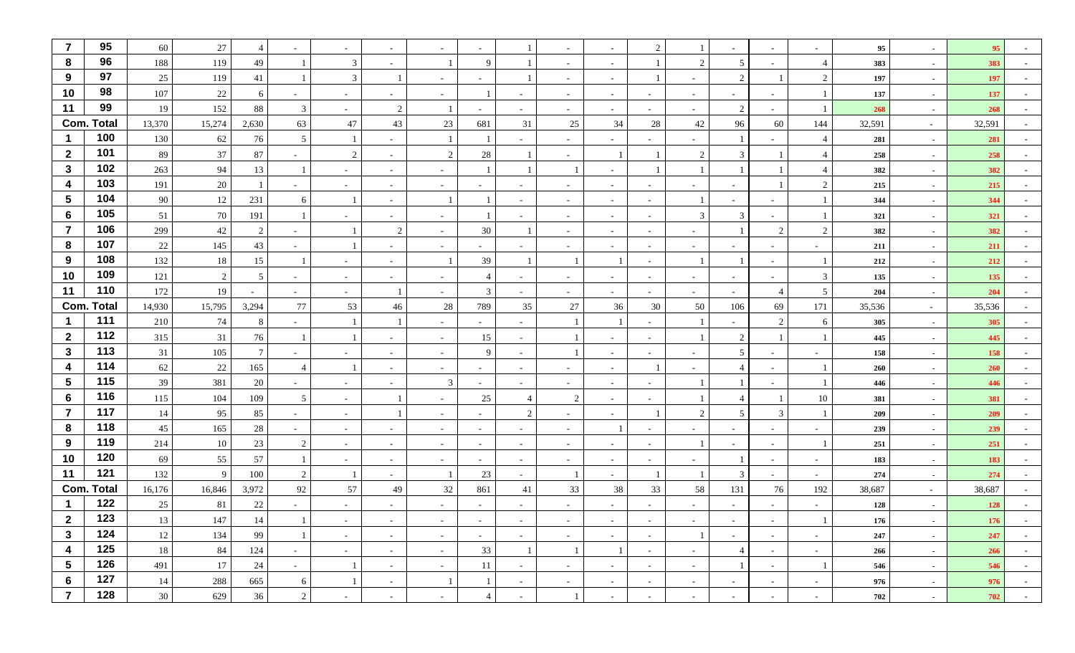| $\overline{7}$      | 95                | 60        | $27\,$        |          | $\overline{\phantom{a}}$ | $\sim$           | $\overline{\phantom{a}}$ | $\overline{\phantom{a}}$                             | $\sim$                   |                          |                                            | $\sim$           | 2                        |                          |                |                  |                | 95         | $\sim$           | 95         |        |
|---------------------|-------------------|-----------|---------------|----------|--------------------------|------------------|--------------------------|------------------------------------------------------|--------------------------|--------------------------|--------------------------------------------|------------------|--------------------------|--------------------------|----------------|------------------|----------------|------------|------------------|------------|--------|
| 8                   | 96                | 188       | 119           | 49       |                          | 3                | $\overline{\phantom{a}}$ |                                                      | 9                        |                          | $\overline{\phantom{a}}$                   | $\sim$           |                          | 2                        | 5              | $\sim$           | $\overline{4}$ | 383        | $\sim$           | 383        |        |
| 9                   | 97                | 25        | 119           | 41       |                          | 3                |                          | $\overline{\phantom{a}}$                             | $\overline{\phantom{a}}$ |                          | $\overline{\phantom{a}}$                   | $\sim$           |                          | $\overline{\phantom{0}}$ | 2              |                  | 2              | 197        | $\sim$           | 197        |        |
| 10                  | 98                | 107       | $22\,$        | 6        |                          | $\sim$           |                          |                                                      |                          |                          |                                            | $\sim$           |                          |                          |                | $\sim$           |                | 137        | $\sim$           | 137        |        |
| 11                  | 99                | 19        | 152           | 88       | 3                        | $\sim$           | 2                        |                                                      | $\overline{\phantom{0}}$ | $\sim$                   | $\overline{\phantom{a}}$                   | $\sim$           |                          | $\sim$                   | 2              |                  |                | 268        | $\sim$           | 268        |        |
|                     | <b>Com. Total</b> | 13,370    | 15,274        | 2,630    | 63                       | 47               | 43                       | 23                                                   | 681                      | 31                       | 25                                         | 34               | 28                       | 42                       | 96             | 60               | 144            | 32,591     | $\sim$           | 32,591     |        |
|                     | 100               | 130       | 62            | 76       | 5                        |                  | $\overline{\phantom{a}}$ |                                                      |                          | $\sim$                   | $\sim$                                     | $\sim$           |                          | $\overline{\phantom{0}}$ |                | $\sim$           | $\overline{4}$ | 281        | $\sim$           | 281        |        |
| $\mathbf{2}$        | 101               | 89        | 37            | 87       | $\overline{\phantom{a}}$ | 2                | $\overline{\phantom{a}}$ | 2                                                    | 28                       |                          | $\overline{\phantom{a}}$                   |                  |                          | 2                        | 3              |                  | $\overline{4}$ | 258        | $\sim$           | 258        |        |
| $\mathbf{3}$        | 102               | 263       | 94            | 13       |                          | $\sim$           | $\overline{\phantom{a}}$ | $\overline{\phantom{a}}$                             |                          | $\mathbf{1}$             |                                            | $\sim$           |                          |                          |                |                  | $\overline{4}$ | 382        | $\sim$           | 382        |        |
| 4                   | 103               | 191       | $20\,$        |          | $\overline{\phantom{a}}$ | $\sim$           | $\overline{\phantom{a}}$ | $\overline{\phantom{a}}$                             |                          |                          |                                            | $\sim$           |                          | $\overline{\phantom{a}}$ |                |                  | 2              | 215        | $\sim$           | 215        |        |
| 5                   | 104               | 90        | $12\,$        | 231      | 6                        |                  | $\sim$                   |                                                      |                          | $\sim$                   | $\sim$                                     | $\sim$           | $\overline{\phantom{a}}$ |                          | $\sim$         | $\sim$           |                | 344        | $\sim$           | 344        | $\sim$ |
| 6                   | 105               | 51        | $70\,$        | 191      |                          | $\sim$           | $\overline{\phantom{a}}$ | $\overline{\phantom{a}}$                             |                          |                          |                                            | $\sim$           |                          | 3                        | 3              | $\sim$           |                | 321        | $\sim$           | 321        |        |
| $\overline{7}$      | 106               | 299       | $42\,$        | 2        | $\overline{\phantom{a}}$ |                  | $\mathcal{D}$            | $\sim$                                               | 30                       |                          | $\overline{\phantom{a}}$                   | $\sim$           | $\sim$                   | $\sim$                   |                | 2                | 2              | 382        | $\sim$           | 382        |        |
| 8                   | 107               | 22        | 145           | 43       | $\sim$                   |                  |                          | $\overline{\phantom{a}}$                             | $\overline{\phantom{0}}$ |                          |                                            | $\sim$           |                          | $\sim$                   |                | $\sim$           |                | 211        | $\sim$           | 211        |        |
| 9                   | 108               | 132       | 18            | 15       | -1                       | $\sim$           | $\sim$                   |                                                      | 39                       | $\overline{1}$           | $\overline{1}$                             |                  | $\overline{a}$           |                          |                | $\sim$           |                | 212        | $\sim$           | 212        |        |
| 10                  | 109               | 121       | 2             | 5        | $\overline{\phantom{a}}$ | $\sim$           | $\sim$                   | $\overline{\phantom{a}}$                             | 4                        | $\sim$                   | $\overline{\phantom{a}}$                   | $\sim$           | $\sim$                   | $\sim$                   | $\sim$         | $\sim$           | $\overline{3}$ | 135        | $\sim$           | 135        |        |
| 11                  | 110               | 172       | 19            |          | $\overline{\phantom{a}}$ | $\sim$           | $\overline{1}$           | $\overline{\phantom{a}}$                             | $\mathfrak{Z}$           | $\overline{\phantom{a}}$ | $\overline{\phantom{a}}$                   | $\sim$           |                          | $\sim$                   | $\sim$         | $\overline{4}$   | $\overline{5}$ | 204        | $\sim$           | 204        |        |
|                     | <b>Com. Total</b> | 14,930    | 15,795        | 3,294    | 77                       | 53               | 46                       | 28                                                   | 789                      | 35                       | $27\,$                                     | 36               | 30                       | 50                       | 106            | 69               | 171            | 35,536     | $\sim$ $-$       | 35,536     |        |
| -1                  | 111               | 210       | 74            | 8        | $\sim$                   |                  | $\overline{1}$           | $\sim$                                               | $\sim$                   | $\sim$                   | -1                                         |                  |                          |                          | $\sim$         | 2                | 6              | 305        | $\sim$           | 305        |        |
| $\mathbf{2}$        | 112               | 315       | 31            | 76       |                          |                  | $\overline{\phantom{a}}$ | $\overline{\phantom{a}}$                             | 15                       | $\sim$                   |                                            | $\sim$           |                          |                          | $\overline{2}$ |                  |                | 445        | $\sim$           | 445        |        |
| $\mathbf{3}$        | 113               | 31        | $105\,$       |          | $\overline{\phantom{a}}$ | $\sim$           | $\overline{\phantom{a}}$ | $\overline{\phantom{a}}$                             | 9                        | $\overline{\phantom{a}}$ |                                            | $\sim$           | $\overline{\phantom{a}}$ | $\sim$                   | 5              | $\sim$           |                | 158        | $\sim$           | 158        |        |
| 4                   | 114               | 62        | $22\,$        | 165      | $\overline{4}$           |                  | $\overline{\phantom{a}}$ | $\sim$                                               | $\sim$                   | $\overline{\phantom{a}}$ |                                            | $\sim$           |                          | $\sim$                   | 4              | $\sim$           |                | 260        | $\sim$           | 260        |        |
| 5                   | 115               | 39        | 381           | 20       | $\sim$                   | $\sim$           | $\overline{\phantom{a}}$ | 3                                                    | $\sim$                   | $\sim$                   | $\overline{\phantom{a}}$                   | $\sim$           |                          |                          |                | $\sim$           |                | 446        | $\sim$           | 446        |        |
| 6                   | 116<br>117        | 115       | 104           | 109      | 5                        | $\sim$           |                          | $\overline{\phantom{a}}$                             | 25                       | $\overline{4}$           | 2                                          | $\sim$           |                          |                          | $\overline{4}$ |                  | 10             | 381        | $\sim$           | 381        |        |
| $\overline{7}$<br>8 | 118               | 14        | 95            | 85       | $\overline{\phantom{a}}$ | $\sim$           |                          |                                                      | $\sim$                   | 2                        |                                            | $\sim$           |                          | $\mathfrak{D}$           | $\overline{5}$ | 3                |                | 209        | $\sim$           | 209        |        |
| 9                   | 119               | 45<br>214 | 165<br>$10\,$ | 28       | $\blacksquare$<br>2      | $\sim$           | $\overline{\phantom{a}}$ | $\sim$                                               | $\sim$                   | $\sim$                   | $\overline{\phantom{a}}$                   |                  |                          | $\sim$                   | $\sim$         | $\sim$           |                | 239        | $\sim$           | 239        |        |
| 10                  | 120               | 69        | 55            | 23<br>57 |                          | $\sim$<br>$\sim$ | $\sim$<br>$\sim$         | $\overline{\phantom{a}}$<br>$\overline{\phantom{a}}$ | $\sim$<br>$\sim$         | $\sim$<br>$\sim$         | $\blacksquare$<br>$\overline{\phantom{a}}$ | $\sim$<br>$\sim$ |                          | $\overline{\phantom{a}}$ | $\sim$         | $\sim$<br>$\sim$ | $\sim$         | 251<br>183 | $\sim$           | 251<br>183 |        |
| 11                  | 121               | 132       | $\mathbf{Q}$  | 100      | 2                        |                  | $\overline{\phantom{a}}$ |                                                      | 23                       | $\overline{\phantom{a}}$ |                                            | $\sim$           |                          |                          | 3              | $\sim$           |                | 274        | $\sim$<br>$\sim$ | 274        |        |
|                     | <b>Com. Total</b> | 16,176    | 16,846        | 3,972    | 92                       | 57               | 49                       | $32\,$                                               | 861                      | 41                       | 33                                         | 38               | 33                       | 58                       | 131            | 76               | 192            | 38,687     | $\sim$ $-$       | 38,687     |        |
|                     | 122               | 25        | 81            | 22       |                          |                  |                          |                                                      |                          |                          |                                            |                  |                          |                          |                |                  |                | 128        |                  | 128        |        |
| $\mathbf{2}$        | 123               | 13        | 147           | 14       | $\perp$                  | $\sim$           | $\sim$                   | $\sim$                                               | $\sim$                   | $\sim$                   | $\sim$                                     | $\sim$           | $\sim$                   | $\sim$                   | $\sim$         | $\sim$           |                | 176        | $\sim$           | <b>176</b> | $\sim$ |
| $\mathbf{3}$        | 124               | 12        | 134           | 99       | -1                       | $\sim$           | $\sim$                   | $\sim$                                               | $\sim$                   | $\sim$                   | $\sim$                                     | $\sim$           | $\sim$                   |                          | $\sim$         | $\sim$           | $\sim$         | 247        | $\sim$           | 247        | $\sim$ |
| 4                   | 125               | 18        | 84            | 124      | $\sim$                   | $\sim$           | $\sim$                   | $\sim$                                               | 33                       | -1                       | $\overline{1}$                             |                  | $\sim$                   | $\sim$                   | 4              | $\sim$           | $\sim$         | 266        | $\sim$           | 266        | $\sim$ |
| $5\phantom{.0}$     | 126               | 491       | 17            | 24       | $\sim$                   | -1               | $\sim$                   | $\sim$                                               | 11                       | $\sim$                   | $\sim$                                     | $\sim$           | $\sim$                   | $\sim$                   | -1             | $\sim$           |                | 546        | $\sim$           | 546        | $\sim$ |
| 6                   | 127               | 14        | 288           | 665      | 6                        | $\mathbf{1}$     | $\sim$                   | -1                                                   | 1                        | $\sim$                   | $\sim$                                     | $\sim$           | $\sim$                   | $\sim$                   | $\sim$         | $\sim$           | $\sim$         | 976        | $\sim$           | 976        | $\sim$ |
| $\overline{7}$      | 128               | 30        | 629           | 36       | $\overline{2}$           | $\sim$           | $\sim$                   | $\sim$                                               | $\overline{4}$           | $\sim$                   | -1                                         | $\sim$           | $\sim$                   | $\sim$                   | $\sim$         | $\sim$           | $\sim$         | 702        | $\sim$           | 702        | $\sim$ |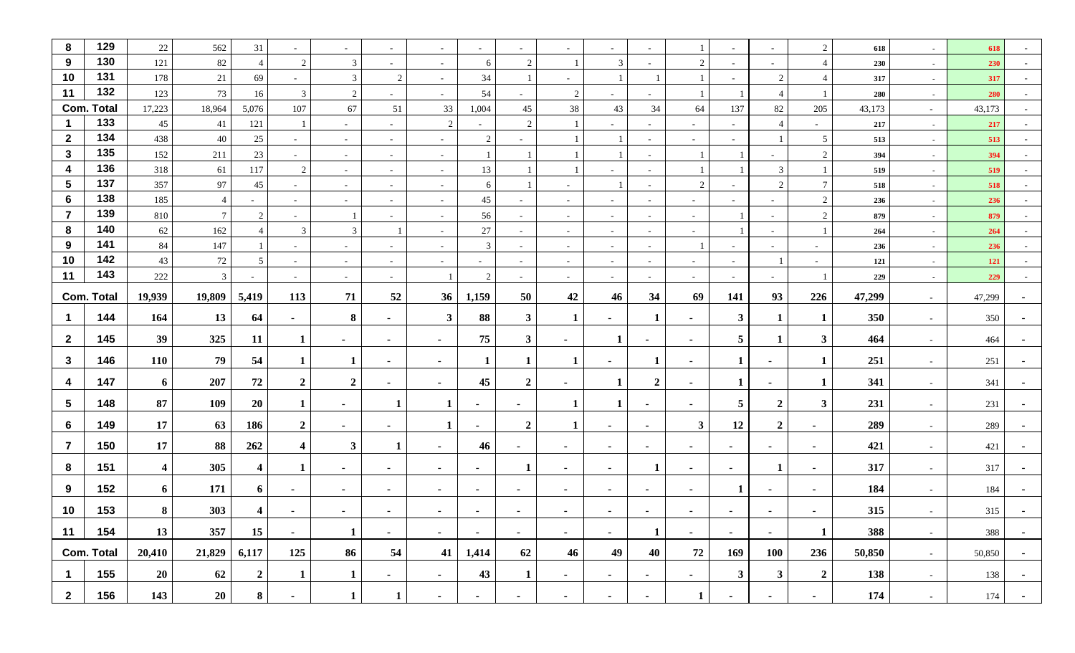| 8                | 129               | 22               | 562            | 31               | $\overline{\phantom{a}}$ | $\sim$         |                          | $\overline{\phantom{a}}$ | $\sim$         | $\sim$                   |                          | $\sim$                   |                          |                | $\sim$                   | $\sim$                   | 2               | 618    | $\sim$ | 618    |        |
|------------------|-------------------|------------------|----------------|------------------|--------------------------|----------------|--------------------------|--------------------------|----------------|--------------------------|--------------------------|--------------------------|--------------------------|----------------|--------------------------|--------------------------|-----------------|--------|--------|--------|--------|
| 9                | 130               | 121              | 82             | $\overline{4}$   | $\overline{2}$           | $\mathfrak{Z}$ | $\overline{\phantom{a}}$ | $\overline{\phantom{a}}$ | 6              | $\sqrt{2}$               |                          | $\mathfrak{Z}$           |                          | $\overline{2}$ | $\sim$                   | $\sim$                   | $\overline{4}$  | 230    | $\sim$ | 230    |        |
| 10               | 131               | 178              | 21             | 69               | $\overline{\phantom{a}}$ | 3              | 2                        | $\overline{\phantom{a}}$ | 34             |                          |                          |                          |                          |                | $\sim$                   | 2                        | $\overline{4}$  | 317    | $\sim$ | 317    |        |
| 11               | 132               | 123              | 73             | 16               | 3                        | 2              |                          |                          | 54             |                          | 2                        | $\sim$                   |                          | 1              |                          |                          |                 | 280    | $\sim$ | 280    |        |
|                  | <b>Com. Total</b> | 17,223           | 18,964         | 5,076            | 107                      | 67             | 51                       | 33                       | 1,004          | 45                       | $38\,$                   | 43                       | 34                       | 64             | 137                      | 82                       | 205             | 43,173 | $\sim$ | 43,173 |        |
| -1               | 133               | 45               | 41             | 121              |                          | $\sim$         | $\sim$                   | 2                        | $\sim$         | $\overline{2}$           |                          | $\sim$                   |                          | $\sim$         | $\sim$                   | $\overline{4}$           | $\sim$          | 217    | $\sim$ | 217    |        |
| $\overline{2}$   | 134               | 438              | 40             | 25               | $\sim$                   | $\sim$         | $\sim$                   | $\overline{\phantom{a}}$ | $\overline{2}$ | $\overline{\phantom{a}}$ |                          |                          | $\overline{\phantom{0}}$ | $\sim$         | $\overline{\phantom{a}}$ |                          | 5               | 513    | $\sim$ | 513    |        |
| $\mathbf{3}$     | 135               | 152              | 211            | 23               | $\sim$                   | $\sim$         | $\sim$                   | $\sim$                   |                |                          |                          |                          | $\sim$                   |                |                          | $\overline{\phantom{a}}$ | 2               | 394    | $\sim$ | 394    |        |
| $\boldsymbol{4}$ | 136               | 318              | 61             | 117              | $\overline{2}$           | $\sim$         | $\overline{\phantom{a}}$ | $\overline{\phantom{a}}$ | 13             |                          |                          | $\sim$                   |                          |                |                          | 3                        |                 | 519    | $\sim$ | 519    |        |
| $\sqrt{5}$       | 137               | 357              | 97             | 45               | $\sim$                   | $\sim$         | $\overline{\phantom{a}}$ | ÷,                       | 6              | $\mathbf{1}$             |                          |                          |                          | $\overline{2}$ |                          | 2                        | $7\phantom{.0}$ | 518    | $\sim$ | 518    |        |
| 6                | 138               | 185              | 4              | $\sim$           | $\sim$                   | $\sim$         | $\sim$                   | $\overline{\phantom{a}}$ | 45             | $\overline{\phantom{a}}$ | $\sim$                   | $\sim$                   | $\sim$                   | $\sim$         | $\sim$                   | $\sim$                   | $\sqrt{2}$      | 236    | $\sim$ | 236    | $\sim$ |
| $\overline{7}$   | 139               | 810              | $\overline{7}$ | 2                | $\overline{\phantom{a}}$ |                |                          | $\overline{\phantom{a}}$ | 56             | $\sim$                   |                          | $\sim$                   |                          | $\sim$         |                          | $\overline{a}$           | 2               | 879    | $\sim$ | 879    |        |
| 8                | 140               | 62               | 162            | 4                | 3                        | 3              |                          | $\overline{\phantom{a}}$ | $27\,$         | $\sim$                   | $\overline{\phantom{a}}$ | $\sim$                   | $\sim$                   | $\sim$         |                          | $\sim$                   |                 | 264    | $\sim$ | 264    |        |
| 9                | 141<br>142        | 84               | 147            |                  | $\sim$                   | $\sim$         |                          |                          | $\mathfrak{Z}$ | $\overline{\phantom{a}}$ |                          | $\sim$                   |                          | 1              | $\sim$                   | $\sim$                   | $\sim$          | 236    | $\sim$ | 236    |        |
| 10               | 143               | 43               | $72\,$         | 5 <sup>5</sup>   | $\overline{\phantom{a}}$ | $\sim$         | $\sim$                   | $\overline{\phantom{a}}$ | $\sim$         | $\sim$                   | $\sim$                   | $\sim$                   | $\overline{\phantom{0}}$ | $\sim$         | $\sim$                   |                          | $\sim$          | 121    | $\sim$ | 121    |        |
| 11               |                   | 222              | $\mathbf{3}$   | $\sim$           | $\sim$                   | $\sim$         | $\sim$                   |                          | 2              | $\sim$                   | $\sim$                   | $\sim$                   | $\sim$                   | $\sim$         | $\sim$                   | $\sim$                   |                 | 229    | $\sim$ | 229    |        |
|                  | <b>Com. Total</b> | 19,939           | 19,809         | 5,419            | 113                      | 71             | 52                       | 36                       | 1,159          | 50                       | 42                       | 46                       | 34                       | 69             | 141                      | 93                       | 226             | 47,299 | $\sim$ | 47,299 |        |
| -1               | 144               | 164              | 13             | 64               | $\sim$                   | 8              | $\blacksquare$           | $\mathbf{3}$             | 88             | $\mathbf{3}$             | -1                       | $\overline{\phantom{a}}$ | -1                       | $\sim$         | $\mathbf{3}$             |                          | 1               | 350    | $\sim$ | 350    |        |
| $\mathbf{2}$     | 145               | 39               | 325            | 11               | 1                        | $\sim$         | $\blacksquare$           | ٠                        | 75             | $\mathbf{3}$             |                          | 1                        | ٠                        | $\sim$         | $5\overline{)}$          |                          | $\mathbf{3}$    | 464    | $\sim$ | 464    |        |
| $\mathbf{3}$     | 146               | <b>110</b>       | 79             | 54               | 1                        | 1              | $\blacksquare$           | $\sim$                   | 1              | 1                        | 1                        | $\sim$                   | -1                       | $\sim$         | 1                        | $\sim$                   | $\mathbf{1}$    | 251    | $\sim$ | 251    |        |
| 4                | 147               | 6                | 207            | 72               | $\overline{2}$           | $\overline{2}$ | $\blacksquare$           | $\sim$                   | 45             | $\overline{2}$           | $\blacksquare$           | 1                        | $\overline{2}$           | ٠              |                          | $\overline{\phantom{0}}$ | 1               | 341    | $\sim$ | 341    |        |
| $\sqrt{5}$       | 148               | 87               | 109            | <b>20</b>        |                          | $\sim$         |                          |                          | ж.             |                          |                          | 1                        | ٠                        | $\sim$         | 5                        | $\mathbf{2}$             | $\mathbf{3}$    | 231    | $\sim$ | 231    |        |
|                  |                   |                  |                |                  |                          |                |                          |                          |                |                          |                          |                          |                          |                |                          |                          |                 |        |        |        |        |
| 6                | 149               | 17               | 63             | 186              | $\mathbf{2}$             | $\sim$         | $\blacksquare$           | $\mathbf{1}$             | $\blacksquare$ | $\overline{2}$           | $\mathbf{1}$             | $\sim$                   |                          | $\mathbf{3}$   | 12                       | $\overline{2}$           | $\blacksquare$  | 289    | $\sim$ | 289    |        |
| $\overline{7}$   | 150               | 17               | 88             | 262              | $\overline{\mathbf{4}}$  | 3              |                          | $\overline{\phantom{a}}$ | 46             | $\sim$                   | $\sim$                   | $\sim$                   | $\blacksquare$           | ٠              | ٠                        | $\sim$                   | $\blacksquare$  | 421    | $\sim$ | 421    |        |
| 8                | 151               | $\boldsymbol{4}$ | 305            | 4                | 1                        | $\sim$         | $\blacksquare$           | $\sim$                   | $\sim$         | -1                       | $\sim$                   | $\sim$                   |                          | $\sim$         | $\sim$                   | 1                        | $\sim$          | 317    | $\sim$ | 317    |        |
| 9                | 152               | 6                | 171            | 6                | $\blacksquare$           | $\blacksquare$ | $\blacksquare$           | $\blacksquare$           | $\blacksquare$ | $\blacksquare$           | $\blacksquare$           | $\sim$                   |                          | $\blacksquare$ | 1                        |                          | $\blacksquare$  | 184    | $\sim$ | 184    |        |
| 10               | 153               | 8                | 303            | 4                |                          |                |                          |                          |                |                          |                          |                          |                          |                |                          |                          |                 | 315    |        | 315    |        |
| 11               | 154               | 13               | 357            | 15               | $\sim$                   | $\mathbf{1}$   | $\sim$                   | $\sim$                   | $\sim$         | $\sim$                   | $\sim$                   | $\sim$                   | 1                        | $\sim$         | $\sim$                   | $\sim$                   | $\mathbf{1}$    | 388    | $\sim$ | 388    | $\sim$ |
|                  | <b>Com. Total</b> | 20,410           | 21,829         | 6,117            | 125                      | 86             | 54                       | 41                       | 1,414          | 62                       | 46                       | 49                       | 40                       | 72             | 169                      | <b>100</b>               | 236             | 50,850 | $\sim$ | 50,850 | $\sim$ |
| $\mathbf{1}$     | 155               | 20               | 62             | $\boldsymbol{2}$ | $\mathbf{1}$             | 1              | $\blacksquare$           | $\sim$                   | 43             | $\mathbf{1}$             | $\sim$                   | $\sim$                   | ۰                        | ۰              | $\mathbf{3}$             | 3 <sup>1</sup>           | $\overline{2}$  | 138    | $\sim$ | 138    | $\sim$ |
| $\mathbf{2}$     | 156               | 143              | 20             | 8                | $\sim$                   | 1              | $\mathbf{1}$             | $\sim$                   | $\blacksquare$ | $\sim$                   | $\sim$                   | $\sim$                   | $\blacksquare$           | $\mathbf{1}$   | $\blacksquare$           | $\sim$                   | $\sim$          | 174    | $\sim$ | 174    | $\sim$ |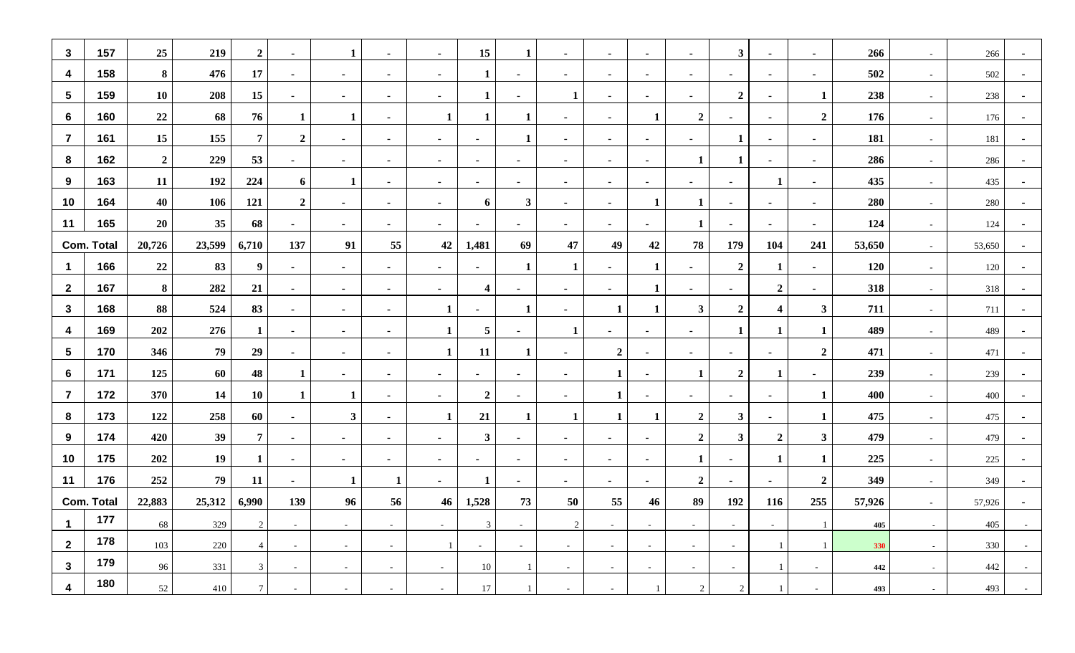| $\mathbf{3}$    | 157               | 25             | 219    | $\boldsymbol{2}$ | $\sim$           |                | ж.             | $\sim$         | 15              | -1             | $\sim$         | $\sim$         | $\blacksquare$           | $\sim$                   | $\mathbf{3}$     | $\sim$                  | $\blacksquare$   | 266        | $\sim$ | 266    | $\blacksquare$ |
|-----------------|-------------------|----------------|--------|------------------|------------------|----------------|----------------|----------------|-----------------|----------------|----------------|----------------|--------------------------|--------------------------|------------------|-------------------------|------------------|------------|--------|--------|----------------|
| 4               | 158               | 8              | 476    | 17               | $\sim$           | $\sim$         | $\blacksquare$ | $\blacksquare$ | $\mathbf{1}$    | ٠              | $\sim$         | $\sim$         | ۰                        | $\sim$                   | ٠                | $\sim$                  | $\blacksquare$   | 502        | $\sim$ | 502    |                |
| $5\phantom{.0}$ | 159               | <b>10</b>      | 208    | 15               | $\blacksquare$   | $\blacksquare$ | $\blacksquare$ | $\blacksquare$ | $\mathbf{1}$    | $\blacksquare$ | 1              | $\blacksquare$ | $\blacksquare$           | $\blacksquare$           | $\overline{2}$   | $\blacksquare$          | 1                | 238        | $\sim$ | 238    |                |
| 6               | 160               | 22             | 68     | 76               | -1               |                | $\blacksquare$ |                | 1               |                | $\sim$         | $\sim$         | -1                       | $\mathbf{2}$             | $\blacksquare$   | $\blacksquare$          | $\overline{2}$   | 176        | $\sim$ | 176    | $\sim$         |
| $\overline{7}$  | 161               | 15             | 155    | $\overline{7}$   | $\boldsymbol{2}$ | $\sim$         | ٠              | $\blacksquare$ | $\sim$          |                | $\sim$         | $\sim$         | $\blacksquare$           | $\blacksquare$           |                  | $\blacksquare$          | $\blacksquare$   | 181        | $\sim$ | 181    |                |
| 8               | 162               | $\overline{2}$ | 229    | 53               | $\blacksquare$   | $\blacksquare$ | $\blacksquare$ | $\blacksquare$ | $\blacksquare$  | $\blacksquare$ | $\sim$         | $\blacksquare$ | $\blacksquare$           | 1                        | 1                | $\blacksquare$          | $\blacksquare$   | 286        | $\sim$ | 286    |                |
| 9               | 163               | 11             | 192    | 224              | 6                |                | ٠              | $\sim$         | $\sim$          | $\sim$         | $\sim$         | $\sim$         | $\blacksquare$           | $\sim$                   | $\blacksquare$   | 1                       | $\blacksquare$   | 435        | $\sim$ | 435    | $\sim$         |
| 10              | 164               | 40             | 106    | 121              | $\boldsymbol{2}$ | $\sim$         | ٠              | $\blacksquare$ | 6               | $\mathbf{3}$   | $\sim$         | $\sim$         | -1                       | 1                        | $\blacksquare$   | $\blacksquare$          | $\blacksquare$   | 280        | $\sim$ | 280    | $\blacksquare$ |
| 11              | 165               | 20             | 35     | 68               | $\sim$           | $\sim$         | $\blacksquare$ | $\blacksquare$ | $\blacksquare$  | $\blacksquare$ | $\sim$         | $\blacksquare$ | $\blacksquare$           | 1                        |                  | $\blacksquare$          | $\blacksquare$   | 124        | $\sim$ | 124    |                |
|                 | <b>Com. Total</b> | 20,726         | 23,599 | 6,710            | 137              | 91             | 55             | 42             | 1,481           | 69             | 47             | 49             | 42                       | 78                       | 179              | 104                     | 241              | 53,650     | $\sim$ | 53,650 | $\sim$         |
| -1              | 166               | 22             | 83     | 9                | $\sim$           | $\sim$         | ٠              | $\blacksquare$ | $\sim$          | 1              | 1              | $\sim$         | 1                        | $\sim$                   | $\overline{2}$   | $\mathbf{1}$            | $\blacksquare$   | <b>120</b> | $\sim$ | 120    | $\sim$         |
| $\mathbf{2}$    | 167               | 8              | 282    | 21               | $\sim$           | $\blacksquare$ | ٠              | $\blacksquare$ | 4               | $\sim$         | $\sim$         | $\blacksquare$ | -1                       | ٠                        |                  | $\overline{2}$          | $\blacksquare$   | 318        | $\sim$ | 318    |                |
| $\mathbf{3}$    | 168               | 88             | 524    | 83               | $\sim$           | $\blacksquare$ | $\blacksquare$ |                | $\blacksquare$  | 1              | $\sim$         | 1              | -1                       | $\mathbf{3}$             | $\boldsymbol{2}$ | $\overline{\mathbf{4}}$ | $\mathbf{3}$     | 711        | $\sim$ | 711    | $\blacksquare$ |
| 4               | 169               | 202            | 276    | $\mathbf 1$      | $\sim$           | $\sim$         | $\sim$         |                | $5\phantom{.0}$ | $\sim$         | 1              | $\sim$         | $\overline{\phantom{a}}$ | $\sim$                   | 1                | 1                       | $\mathbf{1}$     | 489        | $\sim$ | 489    | $\blacksquare$ |
| $\sqrt{5}$      | 170               | 346            | 79     | 29               | $\sim$           | $\sim$         | $\blacksquare$ |                | 11              | 1              |                | $\overline{2}$ | $\blacksquare$           | ۰.                       |                  | ٠                       | $\boldsymbol{2}$ | 471        | $\sim$ | 471    |                |
| 6               | 171               | 125            | 60     | 48               | 1                | $\blacksquare$ | ٠              | $\blacksquare$ | $\blacksquare$  | $\sim$         | $\sim$         | 1              | $\blacksquare$           | 1                        | $\overline{2}$   | 1                       | $\blacksquare$   | 239        | $\sim$ | 239    | $\sim$         |
| $\overline{7}$  | 172               | 370            | 14     | 10               | 1                |                | $\blacksquare$ | $\blacksquare$ | $\overline{2}$  | $\sim$         | $\sim$         | 1              | $\blacksquare$           | $\sim$                   | $\blacksquare$   | $\sim$                  | $\mathbf{1}$     | 400        | $\sim$ | 400    | $\sim$         |
| 8               | 173               | 122            | 258    | 60               | $\sim$           | $\mathbf{3}$   | ٠              |                | 21              | 1              | -1             | 1              | -1                       | $\boldsymbol{2}$         | $\mathbf{3}$     | $\blacksquare$          | $\mathbf{1}$     | 475        | $\sim$ | 475    |                |
| 9               | 174               | 420            | 39     | $\overline{7}$   | $\blacksquare$   | $\sim$         | $\blacksquare$ | $\sim$         | $\mathbf{3}$    | $\sim$         | $\sim$         | $\sim$         | $\blacksquare$           | $\boldsymbol{2}$         | $\mathbf{3}$     | $\overline{2}$          | $\mathbf{3}$     | 479        | $\sim$ | 479    | $\blacksquare$ |
| 10              | 175               | 202            | 19     | 1                | $\blacksquare$   | $\sim$         | $\blacksquare$ | $\sim$         | $\blacksquare$  | $\sim$         | $\sim$         | $\sim$         | $\blacksquare$           | 1                        | $\blacksquare$   | 1                       | $\mathbf{1}$     | 225        | $\sim$ | 225    | $\blacksquare$ |
| 11              | 176               | 252            | 79     | 11               | ж.               | -1             | $\mathbf 1$    | ٠              | $\mathbf 1$     | ж.             | ж.             | ж.             | ٠.                       | $\overline{2}$           | ٠                | ж.                      | $\overline{2}$   | 349        | $\sim$ | 349    | $\blacksquare$ |
|                 | <b>Com. Total</b> | 22,883         | 25,312 | 6,990            | 139              | 96             | 56             | 46             | 1,528           | 73             | 50             | 55             | 46                       | 89                       | 192              | 116                     | 255              | 57,926     | $\sim$ | 57,926 | $\blacksquare$ |
| -1              | 177               | 68             | 329    | $\overline{c}$   | $\sim$           | $\sim$         | $\sim$         | $\sim$         | $\mathfrak{Z}$  | $\sim$         | $\overline{2}$ | $\sim$         | $\sim$                   | $\overline{\phantom{a}}$ | $\sim$           | $\sim$                  | -1               | 405        | $\sim$ | 405    |                |
| $\mathbf{2}$    | 178               | 103            | 220    | $\overline{4}$   | $\sim$           | $\sim$         | $\sim$         |                | $\sim$          | $\sim$         | $\sim$         | $\sim$         | $\sim$                   | $\sim$ $-$               | $\sim$           | 1                       | -1               | 330        | $\sim$ | 330    | $\sim$ $-$     |
| $\mathbf{3}$    | 179               | 96             | 331    | 3                | $\sim$           | $\sim$         | $\sim$         | $\sim$         | 10              |                | $\sim$         | $\sim$         | $\sim$                   | $\sim$                   | $\sim$           | 1                       | $\sim$           | 442        | $\sim$ | 442    | $\sim$         |
| 4               | 180               | 52             | 410    | $\tau$           | $\sim$           | $\sim$         | $\sim$         | $\sim$         | 17              |                | $\sim$         | $\sim$         |                          | $\overline{2}$           | $\overline{2}$   |                         | $\sim$           | 493        | $\sim$ | 493    | $\sim$         |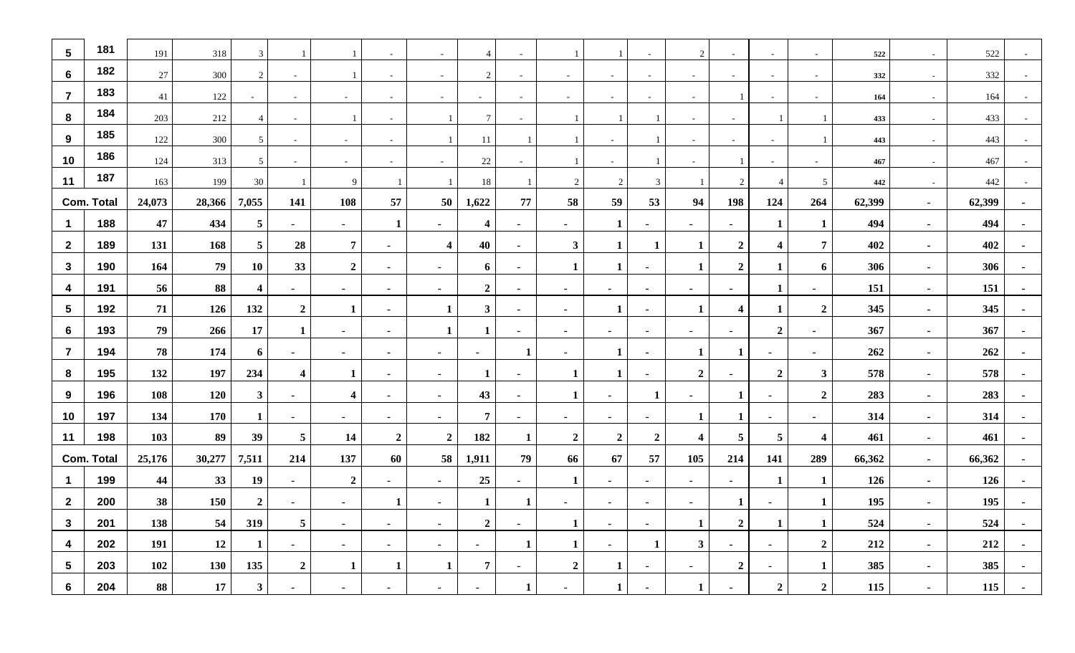| 5               | 181               | 191    | 318    | $\mathfrak{Z}$          |                         |                         |                | $\sim$                  | $\overline{4}$   |                          |                  |                |                | 2                        |                  |                         | $\sim$                  | 522    | $\sim$ | 522    |                |
|-----------------|-------------------|--------|--------|-------------------------|-------------------------|-------------------------|----------------|-------------------------|------------------|--------------------------|------------------|----------------|----------------|--------------------------|------------------|-------------------------|-------------------------|--------|--------|--------|----------------|
| $6\phantom{1}$  | 182               | 27     | 300    | 2                       | $\sim$                  |                         |                | $\sim$                  | 2                |                          |                  | $\sim$         |                | $\blacksquare$           |                  |                         | $\sim$                  | 332    | $\sim$ | 332    |                |
| $\overline{7}$  | 183               | 41     | 122    |                         |                         | $\sim$                  |                |                         |                  |                          |                  | $\sim$         |                | $\sim$                   |                  | $\sim$                  | $\sim$                  | 164    | $\sim$ | 164    |                |
| 8               | 184               | 203    | 212    | $\overline{4}$          | $\sim$                  |                         | $\sim$         |                         | $\tau$           | $\sim$                   |                  | $\mathbf{1}$   |                | $\sim$                   |                  |                         | -1                      | 433    | $\sim$ | 433    |                |
| 9               | 185               | 122    | 300    | $5\overline{)}$         | $\sim$                  | $\sim$                  | $\sim$         |                         | 11               |                          | - 1              | $\sim$         |                | $\sim$                   | $\sim$           | $\sim$                  | $\overline{1}$          | 443    | $\sim$ | 443    |                |
| 10              | 186               | 124    | 313    | 5                       | $\sim$                  | $\sim$                  | $\sim$         |                         | 22               | $\overline{\phantom{a}}$ |                  | $\sim$         |                | $\overline{\phantom{a}}$ | $\overline{1}$   | $\sim$                  | $\sim$                  | 467    | $\sim$ | 467    |                |
| 11              | 187               | 163    | 199    | 30                      |                         | 9                       |                |                         | 18               |                          | 2                | 2              | 3              |                          | 2                | $\overline{4}$          | $5\overline{)}$         | 442    | $\sim$ | 442    |                |
|                 | <b>Com. Total</b> | 24,073 | 28,366 | 7,055                   | 141                     | 108                     | 57             | 50 <sup>°</sup>         | 1,622            | ${\bf 77}$               | 58               | 59             | 53             | 94                       | 198              | 124                     | 264                     | 62,399 | $\sim$ | 62,399 | $\sim$         |
| $\mathbf 1$     | 188               | 47     | 434    | $\overline{5}$          | $\sim$                  | $\sim$                  | $\mathbf{1}$   | $\overline{a}$          | 4                | $\sim$                   | $\sim$           | $\mathbf{1}$   | $\blacksquare$ | $\blacksquare$           | $\blacksquare$   | 1                       | $\mathbf{1}$            | 494    | $\sim$ | 494    |                |
| $\mathbf{2}$    | 189               | 131    | 168    | $\overline{5}$          | 28                      | $\overline{7}$          | $\sim$         | $\overline{\mathbf{4}}$ | 40               | $\sim$                   | $\mathbf{3}$     | $\mathbf{1}$   | -1             | $\mathbf{1}$             | $\overline{2}$   | $\overline{\mathbf{4}}$ | $\overline{7}$          | 402    | $\sim$ | 402    |                |
| $\mathbf{3}$    | 190               | 164    | 79     | <b>10</b>               | 33                      | $\overline{2}$          | $\sim$         | $\sim$                  | 6                | $\sim$                   | $\mathbf{1}$     | $\mathbf{1}$   | $\blacksquare$ | $\mathbf{1}$             | $\overline{2}$   | $\mathbf{1}$            | 6                       | 306    | $\sim$ | 306    |                |
| 4               | 191               | 56     | 88     | $\overline{\mathbf{4}}$ | $\sim$                  | $\sim$                  | $\blacksquare$ | $\sim$                  | $\boldsymbol{2}$ | $\sim$                   | $\sim$           | $\sim$         | $\blacksquare$ | $\sim$                   | $\blacksquare$   | $\mathbf{1}$            | $\blacksquare$          | 151    | $\sim$ | 151    | $\blacksquare$ |
| $\sqrt{5}$      | 192               | 71     | 126    | 132                     | $\boldsymbol{2}$        | 1                       | $\sim$         | 1                       | $\mathbf{3}$     | $\sim$                   | $\sim$           | 1              | $\blacksquare$ | 1                        | $\boldsymbol{4}$ | 1                       | $\overline{2}$          | 345    | $\sim$ | 345    |                |
| 6               | 193               | 79     | 266    | 17                      | 1                       | $\sim$                  | $\blacksquare$ | 1                       | $\mathbf{1}$     | $\blacksquare$           | $\sim$           | $\sim$         | $\blacksquare$ | $\blacksquare$           |                  | $\overline{2}$          | $\blacksquare$          | 367    | $\sim$ | 367    |                |
| $\overline{7}$  | 194               | 78     | 174    | 6                       | $\sim$                  | $\sim$                  | $\sim$         | $\sim$                  | $\sim$           | -1                       | $\sim$           | $\mathbf{1}$   | $\blacksquare$ | 1                        | 1                | $\sim$                  | $\blacksquare$          | 262    | $\sim$ | 262    |                |
| 8               | 195               | 132    | 197    | 234                     | $\overline{\mathbf{4}}$ | 1                       | $\sim$         | $\overline{a}$          | $\mathbf{1}$     | $\blacksquare$           | $\mathbf{1}$     | $\mathbf{1}$   | $\blacksquare$ | $\overline{2}$           | $\blacksquare$   | $\overline{2}$          | $\mathbf{3}$            | 578    | $\sim$ | 578    |                |
| 9               | 196               | 108    | 120    | $\mathbf{3}$            | $\sim$                  | $\overline{\mathbf{4}}$ | $\sim$         | $\sim$                  | 43               | $\sim$                   | $\mathbf{1}$     | $\sim$         | 1              | $\sim$                   | 1                | $\sim$                  | $\overline{2}$          | 283    | $\sim$ | 283    |                |
| 10              | 197               | 134    | 170    | $\mathbf{1}$            | $\blacksquare$          | $\sim$                  | $\sim$         | $\sim$                  | $\overline{7}$   | $\blacksquare$           | $\blacksquare$   | $\sim$         | $\blacksquare$ | $\mathbf{1}$             | $\mathbf 1$      | $\blacksquare$          | $\blacksquare$          | 314    | $\sim$ | 314    |                |
| 11              | 198               | 103    | 89     | 39                      | $\overline{\mathbf{5}}$ | 14                      | $\overline{2}$ | $\overline{2}$          | 182              | -1                       | $\boldsymbol{2}$ | $\overline{2}$ | $\overline{2}$ | $\boldsymbol{4}$         | $5\phantom{.0}$  | $5\phantom{.0}$         | $\overline{\mathbf{4}}$ | 461    | $\sim$ | 461    |                |
|                 | <b>Com. Total</b> | 25,176 | 30,277 | 7,511                   | 214                     | 137                     | 60             | 58                      | 1,911            | 79                       | 66               | 67             | 57             | 105                      | 214              | 141                     | 289                     | 66,362 | $\sim$ | 66,362 | $\sim$         |
| $\mathbf 1$     | 199               | 44     | 33     | 19                      | $\sim$                  | $\overline{2}$          | $\sim$         | $\blacksquare$          | 25               | $\sim$                   | 1                | $\sim$         | $\blacksquare$ | $\blacksquare$           |                  | 1                       | $\mathbf{1}$            | 126    | $\sim$ | 126    |                |
| $\overline{2}$  | 200               | 38     | 150    | $\overline{2}$          | $\sim$                  | $\sim$                  | 1              | $\sim$                  | $\mathbf{1}$     | -1                       | $\sim$           | $\sim$         | $\blacksquare$ | $\sim$                   | 1                | $\blacksquare$          | $\mathbf{1}$            | 195    | $\sim$ | 195    |                |
| $\mathbf{3}$    | 201               | 138    | 54     | 319                     | $\overline{5}$          | $\sim$                  | $\sim$         | $\overline{a}$          | $\overline{2}$   | $\sim$                   | $\mathbf{1}$     | $\sim$         | $\blacksquare$ | $\mathbf{1}$             | $\overline{2}$   | 1                       | $\mathbf{1}$            | 524    | $\sim$ | 524    |                |
| 4               | 202               | 191    | 12     | $\mathbf 1$             | $\sim$                  | $\sim$                  | $\sim$         | $\sim$                  | $\sim$           | 1                        | $\mathbf{1}$     | $\sim$         | $\mathbf 1$    | $\mathbf{3}$             | $\blacksquare$   | $\sim$                  | $\overline{2}$          | 212    | $\sim$ | 212    | $\blacksquare$ |
| $5\phantom{.0}$ | 203               | 102    | 130    | 135                     | $\overline{2}$          | 1                       | 1              |                         | $\overline{7}$   | $\blacksquare$           | $\boldsymbol{2}$ | 1              |                | $\blacksquare$           | $\overline{2}$   | $\blacksquare$          | $\mathbf{1}$            | 385    | $\sim$ | 385    |                |
| 6               | 204               | 88     | 17     | 3 <sup>1</sup>          | $\sim$                  | $\blacksquare$          |                |                         | $\blacksquare$   |                          |                  | 1              |                | 1                        |                  | $\overline{2}$          | $\overline{2}$          | 115    | $\sim$ | 115    |                |